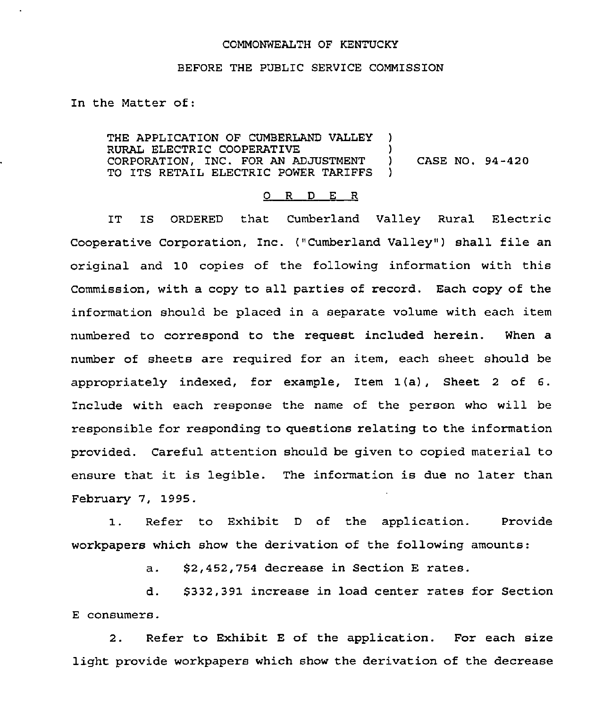## COMMONWEALTH OF KENTUCKY

## BEFORE THE PUBL1C SERVICE COMMISSION

In the Matter of:

THE APPLICATION OF CUMBERLAND VALLEY ) RURAL ELECTRIC COOPERATIVE ) CORPORATION, INC. FOR AN ADJUSTMENT ) CASE NO. 94-420 TO ITS RETAIL ELECTRIC POWER TARIFFS

## O R D E R

IT IS ORDERED that Cumberland Valley Rural Electric Cooperative Corporation, Inc. ("Cumberland Valley") shall file an original and 10 copies of the following information with this Commission, with a copy to all parties of record. Each copy of the information should be placed in a separate volume with each item numbered to correspond to the request included herein. When a number of sheets are required for an item, each sheet should be appropriately indexed, for example, Item I(a), Sheet <sup>2</sup> of 6. Include with each response the name of the person who will be responsible for responding to questions relating to the information provided. Careful attention should be given to copied material to ensure that it is legible. The information is due no later than February 7, 1995.

Refer to Exhibit <sup>D</sup> of the application. Provide  $1$ . workpapers which show the derivation of the following amounts:

a. \$2,452,754 decrease in Section <sup>E</sup> rates.

d. \$332,391 increase in load center rates for Section E consumers.

2. Refer to Exhibit E of the application. For each size light provide workpapers which show the derivation of the decrease